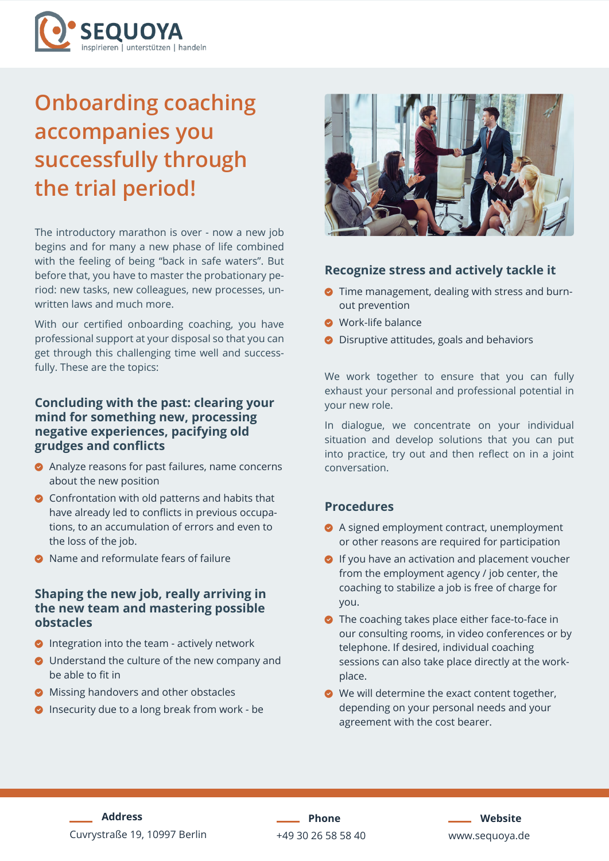

# **Onboarding coaching accompanies you successfully through the trial period!**

The introductory marathon is over - now a new job begins and for many a new phase of life combined with the feeling of being "back in safe waters". But before that, you have to master the probationary period: new tasks, new colleagues, new processes, unwritten laws and much more.

With our certified onboarding coaching, you have professional support at your disposal so that you can get through this challenging time well and successfully. These are the topics:

### **Concluding with the past: clearing your mind for something new, processing negative experiences, pacifying old grudges and conflicts**

- **•** Analyze reasons for past failures, name concerns about the new position
- $\bullet$  Confrontation with old patterns and habits that have already led to conflicts in previous occupations, to an accumulation of errors and even to the loss of the job.
- **•** Name and reformulate fears of failure

### **Shaping the new job, really arriving in the new team and mastering possible obstacles**

- **•** Integration into the team actively network
- O Understand the culture of the new company and be able to fit in
- **•** Missing handovers and other obstacles
- **O** Insecurity due to a long break from work be



### **Recognize stress and actively tackle it**

- **•** Time management, dealing with stress and burnout prevention
- **O** Work-life balance
- **•** Disruptive attitudes, goals and behaviors

We work together to ensure that you can fully exhaust your personal and professional potential in your new role.

In dialogue, we concentrate on your individual situation and develop solutions that you can put into practice, try out and then reflect on in a joint conversation.

### **Procedures**

- A signed employment contract, unemployment or other reasons are required for participation
- $\bullet$  If you have an activation and placement voucher from the employment agency / job center, the coaching to stabilize a job is free of charge for you.
- $\bullet$  The coaching takes place either face-to-face in our consulting rooms, in video conferences or by telephone. If desired, individual coaching sessions can also take place directly at the workplace.
- $\bullet$  We will determine the exact content together, depending on your personal needs and your agreement with the cost bearer.

**Address** Cuvrystraße 19, 10997 Berlin

**Phone** +49 30 26 58 58 40

**Website** [www.s](http://www.sequoya.de)equoya.de